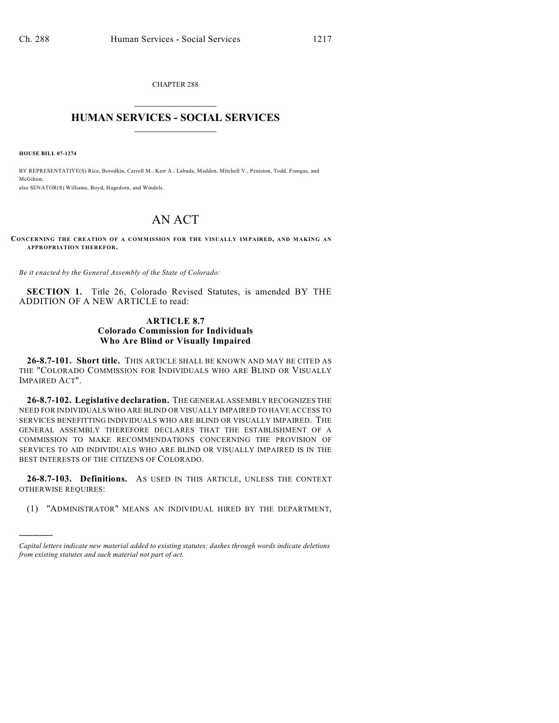CHAPTER 288  $\overline{\phantom{a}}$  . The set of the set of the set of the set of the set of the set of the set of the set of the set of the set of the set of the set of the set of the set of the set of the set of the set of the set of the set o

## **HUMAN SERVICES - SOCIAL SERVICES**  $\frac{1}{2}$  ,  $\frac{1}{2}$  ,  $\frac{1}{2}$  ,  $\frac{1}{2}$  ,  $\frac{1}{2}$  ,  $\frac{1}{2}$  ,  $\frac{1}{2}$

**HOUSE BILL 07-1274**

)))))

BY REPRESENTATIVE(S) Rice, Borodkin, Carroll M., Kerr A., Labuda, Madden, Mitchell V., Peniston, Todd, Frangas, and McGihon; also SENATOR(S) Williams, Boyd, Hagedorn, and Windels.

## AN ACT

**CONCERNING THE CREATION OF A COMMISSION FOR THE VISUALLY IMPAIRED, AND MAKING AN APPROPRIATION THEREFOR.**

*Be it enacted by the General Assembly of the State of Colorado:*

**SECTION 1.** Title 26, Colorado Revised Statutes, is amended BY THE ADDITION OF A NEW ARTICLE to read:

## **ARTICLE 8.7 Colorado Commission for Individuals Who Are Blind or Visually Impaired**

**26-8.7-101. Short title.** THIS ARTICLE SHALL BE KNOWN AND MAY BE CITED AS THE "COLORADO COMMISSION FOR INDIVIDUALS WHO ARE BLIND OR VISUALLY IMPAIRED ACT".

**26-8.7-102. Legislative declaration.** THE GENERAL ASSEMBLY RECOGNIZES THE NEED FOR INDIVIDUALS WHO ARE BLIND OR VISUALLY IMPAIRED TO HAVE ACCESS TO SERVICES BENEFITTING INDIVIDUALS WHO ARE BLIND OR VISUALLY IMPAIRED. THE GENERAL ASSEMBLY THEREFORE DECLARES THAT THE ESTABLISHMENT OF A COMMISSION TO MAKE RECOMMENDATIONS CONCERNING THE PROVISION OF SERVICES TO AID INDIVIDUALS WHO ARE BLIND OR VISUALLY IMPAIRED IS IN THE BEST INTERESTS OF THE CITIZENS OF COLORADO.

**26-8.7-103. Definitions.** AS USED IN THIS ARTICLE, UNLESS THE CONTEXT OTHERWISE REQUIRES:

(1) "ADMINISTRATOR" MEANS AN INDIVIDUAL HIRED BY THE DEPARTMENT,

*Capital letters indicate new material added to existing statutes; dashes through words indicate deletions from existing statutes and such material not part of act.*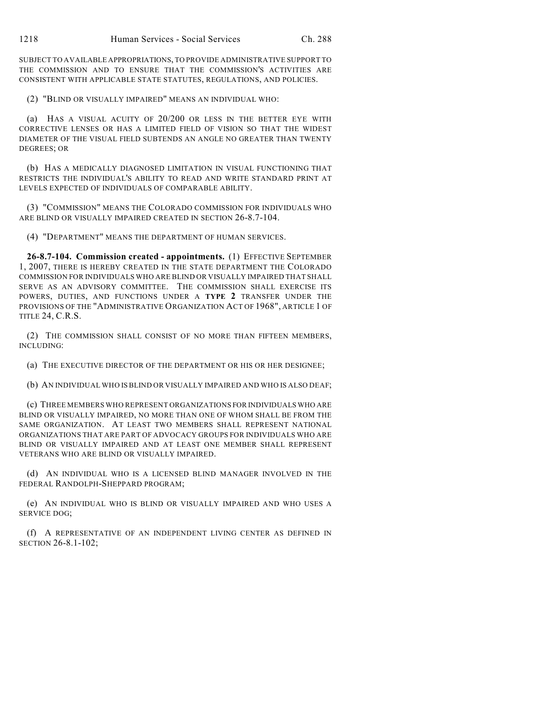SUBJECT TO AVAILABLE APPROPRIATIONS, TO PROVIDE ADMINISTRATIVE SUPPORT TO THE COMMISSION AND TO ENSURE THAT THE COMMISSION'S ACTIVITIES ARE CONSISTENT WITH APPLICABLE STATE STATUTES, REGULATIONS, AND POLICIES.

(2) "BLIND OR VISUALLY IMPAIRED" MEANS AN INDIVIDUAL WHO:

(a) HAS A VISUAL ACUITY OF 20/200 OR LESS IN THE BETTER EYE WITH CORRECTIVE LENSES OR HAS A LIMITED FIELD OF VISION SO THAT THE WIDEST DIAMETER OF THE VISUAL FIELD SUBTENDS AN ANGLE NO GREATER THAN TWENTY DEGREES; OR

(b) HAS A MEDICALLY DIAGNOSED LIMITATION IN VISUAL FUNCTIONING THAT RESTRICTS THE INDIVIDUAL'S ABILITY TO READ AND WRITE STANDARD PRINT AT LEVELS EXPECTED OF INDIVIDUALS OF COMPARABLE ABILITY.

(3) "COMMISSION" MEANS THE COLORADO COMMISSION FOR INDIVIDUALS WHO ARE BLIND OR VISUALLY IMPAIRED CREATED IN SECTION 26-8.7-104.

(4) "DEPARTMENT" MEANS THE DEPARTMENT OF HUMAN SERVICES.

**26-8.7-104. Commission created - appointments.** (1) EFFECTIVE SEPTEMBER 1, 2007, THERE IS HEREBY CREATED IN THE STATE DEPARTMENT THE COLORADO COMMISSION FOR INDIVIDUALS WHO ARE BLIND OR VISUALLY IMPAIRED THAT SHALL SERVE AS AN ADVISORY COMMITTEE. THE COMMISSION SHALL EXERCISE ITS POWERS, DUTIES, AND FUNCTIONS UNDER A **TYPE 2** TRANSFER UNDER THE PROVISIONS OF THE "ADMINISTRATIVE ORGANIZATION ACT OF 1968", ARTICLE 1 OF TITLE 24, C.R.S.

(2) THE COMMISSION SHALL CONSIST OF NO MORE THAN FIFTEEN MEMBERS, INCLUDING:

(a) THE EXECUTIVE DIRECTOR OF THE DEPARTMENT OR HIS OR HER DESIGNEE;

(b) AN INDIVIDUAL WHO IS BLIND OR VISUALLY IMPAIRED AND WHO IS ALSO DEAF;

(c) THREE MEMBERS WHO REPRESENT ORGANIZATIONS FOR INDIVIDUALS WHO ARE BLIND OR VISUALLY IMPAIRED, NO MORE THAN ONE OF WHOM SHALL BE FROM THE SAME ORGANIZATION. AT LEAST TWO MEMBERS SHALL REPRESENT NATIONAL ORGANIZATIONS THAT ARE PART OF ADVOCACY GROUPS FOR INDIVIDUALS WHO ARE BLIND OR VISUALLY IMPAIRED AND AT LEAST ONE MEMBER SHALL REPRESENT VETERANS WHO ARE BLIND OR VISUALLY IMPAIRED.

(d) AN INDIVIDUAL WHO IS A LICENSED BLIND MANAGER INVOLVED IN THE FEDERAL RANDOLPH-SHEPPARD PROGRAM;

(e) AN INDIVIDUAL WHO IS BLIND OR VISUALLY IMPAIRED AND WHO USES A SERVICE DOG;

(f) A REPRESENTATIVE OF AN INDEPENDENT LIVING CENTER AS DEFINED IN SECTION 26-8.1-102;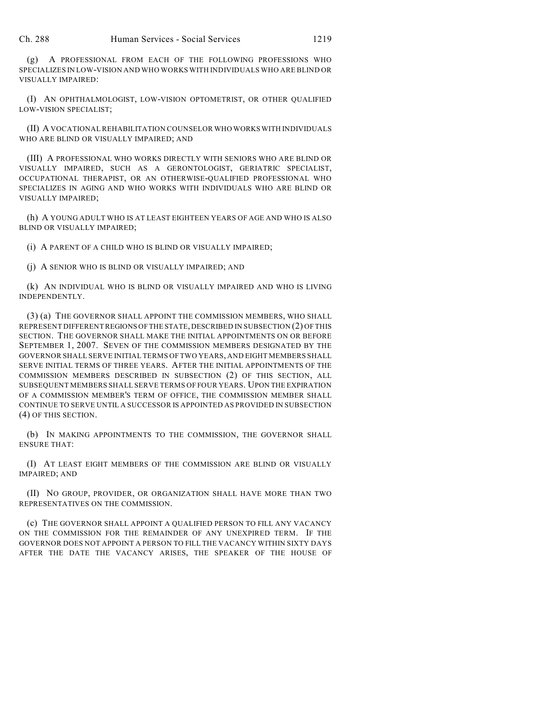(g) A PROFESSIONAL FROM EACH OF THE FOLLOWING PROFESSIONS WHO SPECIALIZES IN LOW-VISION AND WHO WORKS WITH INDIVIDUALS WHO ARE BLIND OR VISUALLY IMPAIRED:

(I) AN OPHTHALMOLOGIST, LOW-VISION OPTOMETRIST, OR OTHER QUALIFIED LOW-VISION SPECIALIST;

(II) A VOCATIONAL REHABILITATION COUNSELOR WHO WORKS WITH INDIVIDUALS WHO ARE BLIND OR VISUALLY IMPAIRED; AND

(III) A PROFESSIONAL WHO WORKS DIRECTLY WITH SENIORS WHO ARE BLIND OR VISUALLY IMPAIRED, SUCH AS A GERONTOLOGIST, GERIATRIC SPECIALIST, OCCUPATIONAL THERAPIST, OR AN OTHERWISE-QUALIFIED PROFESSIONAL WHO SPECIALIZES IN AGING AND WHO WORKS WITH INDIVIDUALS WHO ARE BLIND OR VISUALLY IMPAIRED;

(h) A YOUNG ADULT WHO IS AT LEAST EIGHTEEN YEARS OF AGE AND WHO IS ALSO BLIND OR VISUALLY IMPAIRED;

(i) A PARENT OF A CHILD WHO IS BLIND OR VISUALLY IMPAIRED;

(j) A SENIOR WHO IS BLIND OR VISUALLY IMPAIRED; AND

(k) AN INDIVIDUAL WHO IS BLIND OR VISUALLY IMPAIRED AND WHO IS LIVING INDEPENDENTLY.

(3) (a) THE GOVERNOR SHALL APPOINT THE COMMISSION MEMBERS, WHO SHALL REPRESENT DIFFERENT REGIONS OF THE STATE, DESCRIBED IN SUBSECTION (2) OF THIS SECTION. THE GOVERNOR SHALL MAKE THE INITIAL APPOINTMENTS ON OR BEFORE SEPTEMBER 1, 2007. SEVEN OF THE COMMISSION MEMBERS DESIGNATED BY THE GOVERNOR SHALL SERVE INITIAL TERMS OF TWO YEARS, AND EIGHT MEMBERS SHALL SERVE INITIAL TERMS OF THREE YEARS. AFTER THE INITIAL APPOINTMENTS OF THE COMMISSION MEMBERS DESCRIBED IN SUBSECTION (2) OF THIS SECTION, ALL SUBSEQUENT MEMBERS SHALL SERVE TERMS OF FOUR YEARS. UPON THE EXPIRATION OF A COMMISSION MEMBER'S TERM OF OFFICE, THE COMMISSION MEMBER SHALL CONTINUE TO SERVE UNTIL A SUCCESSOR IS APPOINTED AS PROVIDED IN SUBSECTION (4) OF THIS SECTION.

(b) IN MAKING APPOINTMENTS TO THE COMMISSION, THE GOVERNOR SHALL ENSURE THAT:

(I) AT LEAST EIGHT MEMBERS OF THE COMMISSION ARE BLIND OR VISUALLY IMPAIRED; AND

(II) NO GROUP, PROVIDER, OR ORGANIZATION SHALL HAVE MORE THAN TWO REPRESENTATIVES ON THE COMMISSION.

(c) THE GOVERNOR SHALL APPOINT A QUALIFIED PERSON TO FILL ANY VACANCY ON THE COMMISSION FOR THE REMAINDER OF ANY UNEXPIRED TERM. IF THE GOVERNOR DOES NOT APPOINT A PERSON TO FILL THE VACANCY WITHIN SIXTY DAYS AFTER THE DATE THE VACANCY ARISES, THE SPEAKER OF THE HOUSE OF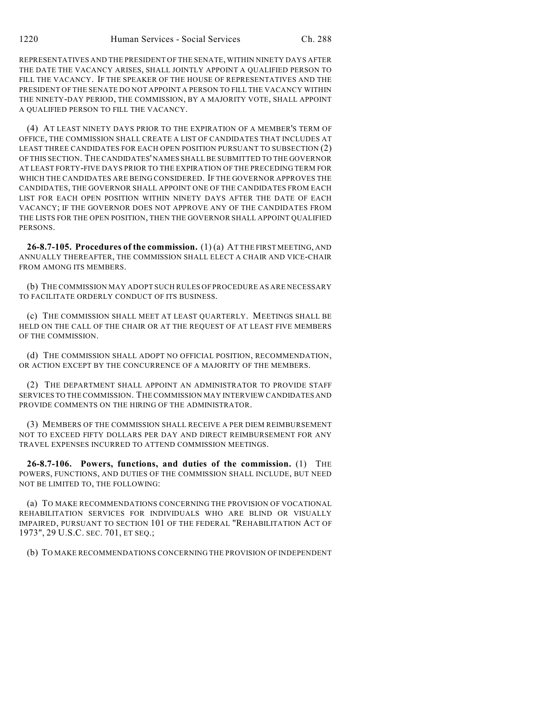REPRESENTATIVES AND THE PRESIDENT OF THE SENATE, WITHIN NINETY DAYS AFTER THE DATE THE VACANCY ARISES, SHALL JOINTLY APPOINT A QUALIFIED PERSON TO FILL THE VACANCY. IF THE SPEAKER OF THE HOUSE OF REPRESENTATIVES AND THE PRESIDENT OF THE SENATE DO NOT APPOINT A PERSON TO FILL THE VACANCY WITHIN THE NINETY-DAY PERIOD, THE COMMISSION, BY A MAJORITY VOTE, SHALL APPOINT A QUALIFIED PERSON TO FILL THE VACANCY.

(4) AT LEAST NINETY DAYS PRIOR TO THE EXPIRATION OF A MEMBER'S TERM OF OFFICE, THE COMMISSION SHALL CREATE A LIST OF CANDIDATES THAT INCLUDES AT LEAST THREE CANDIDATES FOR EACH OPEN POSITION PURSUANT TO SUBSECTION (2) OF THIS SECTION. THE CANDIDATES' NAMES SHALL BE SUBMITTED TO THE GOVERNOR AT LEAST FORTY-FIVE DAYS PRIOR TO THE EXPIRATION OF THE PRECEDING TERM FOR WHICH THE CANDIDATES ARE BEING CONSIDERED. IF THE GOVERNOR APPROVES THE CANDIDATES, THE GOVERNOR SHALL APPOINT ONE OF THE CANDIDATES FROM EACH LIST FOR EACH OPEN POSITION WITHIN NINETY DAYS AFTER THE DATE OF EACH VACANCY; IF THE GOVERNOR DOES NOT APPROVE ANY OF THE CANDIDATES FROM THE LISTS FOR THE OPEN POSITION. THEN THE GOVERNOR SHALL APPOINT OUALIFIED PERSONS.

**26-8.7-105. Procedures of the commission.** (1) (a) AT THE FIRST MEETING, AND ANNUALLY THEREAFTER, THE COMMISSION SHALL ELECT A CHAIR AND VICE-CHAIR FROM AMONG ITS MEMBERS.

(b) THE COMMISSION MAY ADOPT SUCH RULES OF PROCEDURE AS ARE NECESSARY TO FACILITATE ORDERLY CONDUCT OF ITS BUSINESS.

(c) THE COMMISSION SHALL MEET AT LEAST QUARTERLY. MEETINGS SHALL BE HELD ON THE CALL OF THE CHAIR OR AT THE REQUEST OF AT LEAST FIVE MEMBERS OF THE COMMISSION.

(d) THE COMMISSION SHALL ADOPT NO OFFICIAL POSITION, RECOMMENDATION, OR ACTION EXCEPT BY THE CONCURRENCE OF A MAJORITY OF THE MEMBERS.

(2) THE DEPARTMENT SHALL APPOINT AN ADMINISTRATOR TO PROVIDE STAFF SERVICES TO THE COMMISSION. THE COMMISSION MAY INTERVIEW CANDIDATES AND PROVIDE COMMENTS ON THE HIRING OF THE ADMINISTRATOR.

(3) MEMBERS OF THE COMMISSION SHALL RECEIVE A PER DIEM REIMBURSEMENT NOT TO EXCEED FIFTY DOLLARS PER DAY AND DIRECT REIMBURSEMENT FOR ANY TRAVEL EXPENSES INCURRED TO ATTEND COMMISSION MEETINGS.

**26-8.7-106. Powers, functions, and duties of the commission.** (1) THE POWERS, FUNCTIONS, AND DUTIES OF THE COMMISSION SHALL INCLUDE, BUT NEED NOT BE LIMITED TO, THE FOLLOWING:

(a) TO MAKE RECOMMENDATIONS CONCERNING THE PROVISION OF VOCATIONAL REHABILITATION SERVICES FOR INDIVIDUALS WHO ARE BLIND OR VISUALLY IMPAIRED, PURSUANT TO SECTION 101 OF THE FEDERAL "REHABILITATION ACT OF 1973", 29 U.S.C. SEC. 701, ET SEQ.;

(b) TO MAKE RECOMMENDATIONS CONCERNING THE PROVISION OF INDEPENDENT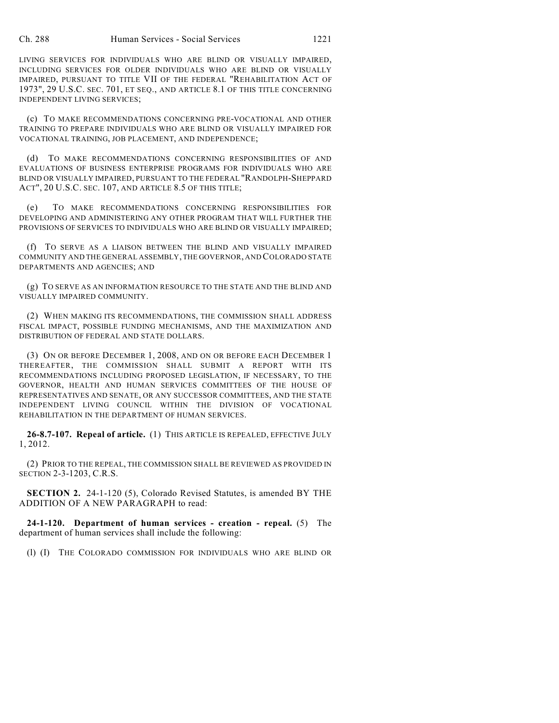LIVING SERVICES FOR INDIVIDUALS WHO ARE BLIND OR VISUALLY IMPAIRED, INCLUDING SERVICES FOR OLDER INDIVIDUALS WHO ARE BLIND OR VISUALLY IMPAIRED, PURSUANT TO TITLE VII OF THE FEDERAL "REHABILITATION ACT OF 1973", 29 U.S.C. SEC. 701, ET SEQ., AND ARTICLE 8.1 OF THIS TITLE CONCERNING INDEPENDENT LIVING SERVICES;

(c) TO MAKE RECOMMENDATIONS CONCERNING PRE-VOCATIONAL AND OTHER TRAINING TO PREPARE INDIVIDUALS WHO ARE BLIND OR VISUALLY IMPAIRED FOR VOCATIONAL TRAINING, JOB PLACEMENT, AND INDEPENDENCE;

(d) TO MAKE RECOMMENDATIONS CONCERNING RESPONSIBILITIES OF AND EVALUATIONS OF BUSINESS ENTERPRISE PROGRAMS FOR INDIVIDUALS WHO ARE BLIND OR VISUALLY IMPAIRED, PURSUANT TO THE FEDERAL "RANDOLPH-SHEPPARD ACT", 20 U.S.C. SEC. 107, AND ARTICLE 8.5 OF THIS TITLE;

(e) TO MAKE RECOMMENDATIONS CONCERNING RESPONSIBILITIES FOR DEVELOPING AND ADMINISTERING ANY OTHER PROGRAM THAT WILL FURTHER THE PROVISIONS OF SERVICES TO INDIVIDUALS WHO ARE BLIND OR VISUALLY IMPAIRED;

(f) TO SERVE AS A LIAISON BETWEEN THE BLIND AND VISUALLY IMPAIRED COMMUNITY AND THE GENERAL ASSEMBLY, THE GOVERNOR, AND COLORADO STATE DEPARTMENTS AND AGENCIES; AND

(g) TO SERVE AS AN INFORMATION RESOURCE TO THE STATE AND THE BLIND AND VISUALLY IMPAIRED COMMUNITY.

(2) WHEN MAKING ITS RECOMMENDATIONS, THE COMMISSION SHALL ADDRESS FISCAL IMPACT, POSSIBLE FUNDING MECHANISMS, AND THE MAXIMIZATION AND DISTRIBUTION OF FEDERAL AND STATE DOLLARS.

(3) ON OR BEFORE DECEMBER 1, 2008, AND ON OR BEFORE EACH DECEMBER 1 THEREAFTER, THE COMMISSION SHALL SUBMIT A REPORT WITH ITS RECOMMENDATIONS INCLUDING PROPOSED LEGISLATION, IF NECESSARY, TO THE GOVERNOR, HEALTH AND HUMAN SERVICES COMMITTEES OF THE HOUSE OF REPRESENTATIVES AND SENATE, OR ANY SUCCESSOR COMMITTEES, AND THE STATE INDEPENDENT LIVING COUNCIL WITHIN THE DIVISION OF VOCATIONAL REHABILITATION IN THE DEPARTMENT OF HUMAN SERVICES.

**26-8.7-107. Repeal of article.** (1) THIS ARTICLE IS REPEALED, EFFECTIVE JULY 1, 2012.

(2) PRIOR TO THE REPEAL, THE COMMISSION SHALL BE REVIEWED AS PROVIDED IN SECTION 2-3-1203, C.R.S.

**SECTION 2.** 24-1-120 (5), Colorado Revised Statutes, is amended BY THE ADDITION OF A NEW PARAGRAPH to read:

**24-1-120. Department of human services - creation - repeal.** (5) The department of human services shall include the following:

(l) (I) THE COLORADO COMMISSION FOR INDIVIDUALS WHO ARE BLIND OR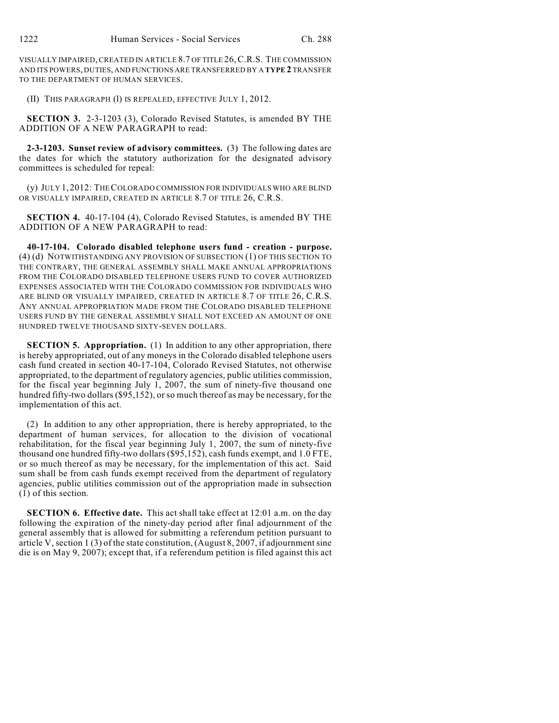VISUALLY IMPAIRED, CREATED IN ARTICLE 8.7 OF TITLE 26,C.R.S. THE COMMISSION AND ITS POWERS, DUTIES, AND FUNCTIONS ARE TRANSFERRED BY A **TYPE 2** TRANSFER TO THE DEPARTMENT OF HUMAN SERVICES.

(II) THIS PARAGRAPH (l) IS REPEALED, EFFECTIVE JULY 1, 2012.

**SECTION 3.** 2-3-1203 (3), Colorado Revised Statutes, is amended BY THE ADDITION OF A NEW PARAGRAPH to read:

**2-3-1203. Sunset review of advisory committees.** (3) The following dates are the dates for which the statutory authorization for the designated advisory committees is scheduled for repeal:

(y) JULY 1, 2012: THE COLORADO COMMISSION FOR INDIVIDUALS WHO ARE BLIND OR VISUALLY IMPAIRED, CREATED IN ARTICLE 8.7 OF TITLE 26, C.R.S.

**SECTION 4.** 40-17-104 (4), Colorado Revised Statutes, is amended BY THE ADDITION OF A NEW PARAGRAPH to read:

**40-17-104. Colorado disabled telephone users fund - creation - purpose.** (4) (d) NOTWITHSTANDING ANY PROVISION OF SUBSECTION (1) OF THIS SECTION TO THE CONTRARY, THE GENERAL ASSEMBLY SHALL MAKE ANNUAL APPROPRIATIONS FROM THE COLORADO DISABLED TELEPHONE USERS FUND TO COVER AUTHORIZED EXPENSES ASSOCIATED WITH THE COLORADO COMMISSION FOR INDIVIDUALS WHO ARE BLIND OR VISUALLY IMPAIRED, CREATED IN ARTICLE 8.7 OF TITLE 26, C.R.S. ANY ANNUAL APPROPRIATION MADE FROM THE COLORADO DISABLED TELEPHONE USERS FUND BY THE GENERAL ASSEMBLY SHALL NOT EXCEED AN AMOUNT OF ONE HUNDRED TWELVE THOUSAND SIXTY-SEVEN DOLLARS.

**SECTION 5. Appropriation.** (1) In addition to any other appropriation, there is hereby appropriated, out of any moneys in the Colorado disabled telephone users cash fund created in section 40-17-104, Colorado Revised Statutes, not otherwise appropriated, to the department of regulatory agencies, public utilities commission, for the fiscal year beginning July 1, 2007, the sum of ninety-five thousand one hundred fifty-two dollars (\$95,152), or so much thereof as may be necessary, for the implementation of this act.

(2) In addition to any other appropriation, there is hereby appropriated, to the department of human services, for allocation to the division of vocational rehabilitation, for the fiscal year beginning July 1, 2007, the sum of ninety-five thousand one hundred fifty-two dollars (\$95,152), cash funds exempt, and 1.0 FTE, or so much thereof as may be necessary, for the implementation of this act. Said sum shall be from cash funds exempt received from the department of regulatory agencies, public utilities commission out of the appropriation made in subsection (1) of this section.

**SECTION 6. Effective date.** This act shall take effect at 12:01 a.m. on the day following the expiration of the ninety-day period after final adjournment of the general assembly that is allowed for submitting a referendum petition pursuant to article V, section 1 (3) of the state constitution, (August 8, 2007, if adjournment sine die is on May 9, 2007); except that, if a referendum petition is filed against this act